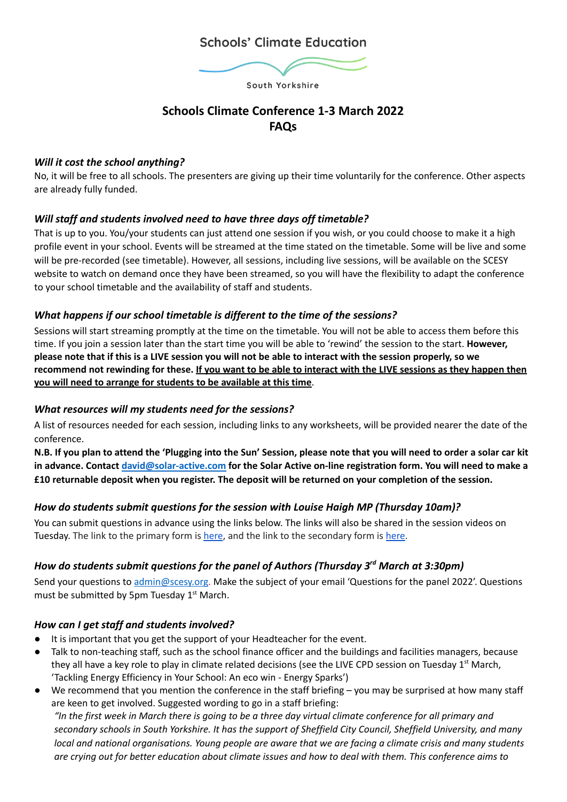# **Schools' Climate Education**



# **Schools Climate Conference 1-3 March 2022 FAQs**

## *Will it cost the school anything?*

No, it will be free to all schools. The presenters are giving up their time voluntarily for the conference. Other aspects are already fully funded.

## *Will staff and students involved need to have three days off timetable?*

That is up to you. You/your students can just attend one session if you wish, or you could choose to make it a high profile event in your school. Events will be streamed at the time stated on the timetable. Some will be live and some will be pre-recorded (see timetable). However, all sessions, including live sessions, will be available on the SCESY website to watch on demand once they have been streamed, so you will have the flexibility to adapt the conference to your school timetable and the availability of staff and students.

## *What happens if our school timetable is different to the time of the sessions?*

Sessions will start streaming promptly at the time on the timetable. You will not be able to access them before this time. If you join a session later than the start time you will be able to 'rewind' the session to the start. **However,** please note that if this is a LIVE session you will not be able to interact with the session properly, so we recommend not rewinding for these. If you want to be able to interact with the LIVE sessions as they happen then **you will need to arrange for students to be available at this time**.

## *What resources will my students need for the sessions?*

A list of resources needed for each session, including links to any worksheets, will be provided nearer the date of the conference.

N.B. If you plan to attend the 'Plugging into the Sun' Session, please note that you will need to order a solar car kit in advance. Contact [david@solar-active.com](mailto:david@solar-active.com) for the Solar Active on-line registration form. You will need to make a **£10 returnable deposit when you register. The deposit will be returned on your completion of the session.**

## *How do students submit questions for the session with Louise Haigh MP (Thursday 10am)?*

You can submit questions in advance using the links below. The links will also be shared in the session videos on Tuesday. The link to the primary form is [here](https://forms.gle/sCL7TWmLtwg7TffR7), and the link to the secondary form is [here.](https://forms.gle/4Fh5qSbjGu5yhJgp6)

## *How do students submit questions for the panel of Authors (Thursday 3rd March at 3:30pm)*

Send your questions to [admin@scesy.org](mailto:admin@scesy.org). Make the subject of your email 'Questions for the panel 2022'. Questions must be submitted by 5pm Tuesday 1<sup>st</sup> March.

## *How can I get staff and students involved?*

- It is important that you get the support of your Headteacher for the event.
- Talk to non-teaching staff, such as the school finance officer and the buildings and facilities managers, because they all have a key role to play in climate related decisions (see the LIVE CPD session on Tuesday 1<sup>st</sup> March, 'Tackling Energy Efficiency in Your School: An eco win - Energy Sparks')
- We recommend that you mention the conference in the staff briefing you may be surprised at how many staff are keen to get involved. Suggested wording to go in a staff briefing: "In the first week in March there is going to be a three day virtual climate conference for all primary and

secondary schools in South Yorkshire. It has the support of Sheffield City Council, Sheffield University, and many local and national organisations. Young people are aware that we are facing a climate crisis and many students are crying out for better education about climate issues and how to deal with them. This conference aims to